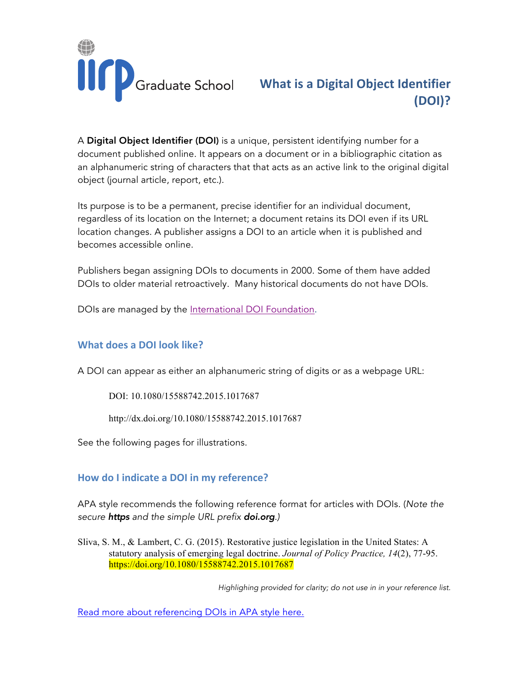

## **What is a Digital Object Identifier (DOI)?**

A Digital Object Identifier (DOI) is a unique, persistent identifying number for a document published online. It appears on a document or in a bibliographic citation as an alphanumeric string of characters that that acts as an active link to the original digital object (journal article, report, etc.).

Its purpose is to be a permanent, precise identifier for an individual document, regardless of its location on the Internet; a document retains its DOI even if its URL location changes. A publisher assigns a DOI to an article when it is published and becomes accessible online.

Publishers began assigning DOIs to documents in 2000. Some of them have added DOIs to older material retroactively. Many historical documents do not have DOIs.

DOIs are managed by the [International DOI Foundation.](http://www.doi.org)

#### **What does a DOI look like?**

A DOI can appear as either an alphanumeric string of digits or as a webpage URL:

DOI: 10.1080/15588742.2015.1017687

http://dx.doi.org/10.1080/15588742.2015.1017687

See the following pages for illustrations.

#### **How do I indicate a DOI in my reference?**

APA style recommends the following reference format for articles with DOIs. (*Note the secure https and the simple URL prefix doi.org.)*

Sliva, S. M., & Lambert, C. G. (2015). Restorative justice legislation in the United States: A statutory analysis of emerging legal doctrine. *Journal of Policy Practice, 14*(2), 77-95. https://doi.org/10.1080/15588742.2015.1017687

 *Highlighing provided for clarity; do not use in in your reference list.* 

[Read more about referencing DOIs in APA style here](http://blog.apastyle.org/apastyle/2017/03/doi-display-guidelines-update-march-2017.html).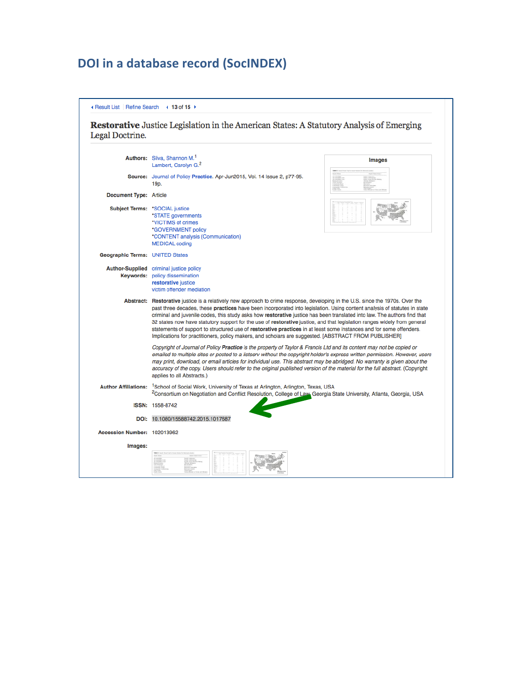# **DOI** in a database record (SocINDEX)

|  | Exercit List   Refine Search | $\triangleleft$ 13 of 15 → |
|--|------------------------------|----------------------------|
|--|------------------------------|----------------------------|

Restorative Justice Legislation in the American States: A Statutory Analysis of Emerging Legal Doctrine.

|                                        | Authors: Sliva, Shannon M. <sup>1</sup><br><b>Images</b><br>Lambert, Carolyn G. <sup>2</sup>                                                                                                                                                                                                                                                                                                                                                                                                                                                                                                                                                                                                                                                             |  |
|----------------------------------------|----------------------------------------------------------------------------------------------------------------------------------------------------------------------------------------------------------------------------------------------------------------------------------------------------------------------------------------------------------------------------------------------------------------------------------------------------------------------------------------------------------------------------------------------------------------------------------------------------------------------------------------------------------------------------------------------------------------------------------------------------------|--|
|                                        | Source: Journal of Policy Practice. Apr-Jun2015, Vol. 14 Issue 2, p77-95.<br>19 <sub>p</sub>                                                                                                                                                                                                                                                                                                                                                                                                                                                                                                                                                                                                                                                             |  |
| Document Type: Article                 |                                                                                                                                                                                                                                                                                                                                                                                                                                                                                                                                                                                                                                                                                                                                                          |  |
|                                        | Subject Terms: *SOCIAL justice<br>*STATE governments<br>*VICTIMS of crimes<br>*GOVERNMENT policy<br>*CONTENT analysis (Communication)<br><b>MEDICAL coding</b>                                                                                                                                                                                                                                                                                                                                                                                                                                                                                                                                                                                           |  |
| <b>Geographic Terms: UNITED States</b> |                                                                                                                                                                                                                                                                                                                                                                                                                                                                                                                                                                                                                                                                                                                                                          |  |
|                                        | <b>Author-Supplied</b> criminal justice policy<br><b>Keywords: policy dissemination</b><br>restorative justice<br>victim offender mediation                                                                                                                                                                                                                                                                                                                                                                                                                                                                                                                                                                                                              |  |
|                                        | Abstract: Restorative justice is a relatively new approach to crime response, developing in the U.S. since the 1970s. Over the<br>past three decades, these <b>practices</b> have been incorporated into legislation. Using content analysis of statutes in state<br>criminal and juvenile codes, this study asks how restorative justice has been translated into law. The authors find that<br>32 states now have statutory support for the use of restorative justice, and that legislation ranges widely from general<br>statements of support to structured use of restorative practices in at least some instances and for some offenders.<br>Implications for practitioners, policy makers, and scholars are suggested. [ABSTRACT FROM PUBLISHER] |  |
|                                        | Copyright of Journal of Policy Practice is the property of Taylor & Francis Ltd and its content may not be copied or<br>emailed to multiple sites or posted to a listserv without the copyright holder's express written permission. However, users<br>may print, download, or email articles for individual use. This abstract may be abridged. No warranty is given about the<br>accuracy of the copy. Users should refer to the original published version of the material for the full abstract. (Copyright<br>applies to all Abstracts.)                                                                                                                                                                                                            |  |
|                                        | Author Affiliations: <sup>1</sup> School of Social Work, University of Texas at Arlington, Arlington, Texas, USA<br><sup>2</sup> Consortium on Negotiation and Conflict Resolution, College of Law, Georgia State University, Atlanta, Georgia, USA                                                                                                                                                                                                                                                                                                                                                                                                                                                                                                      |  |
|                                        | <b>ISSN: 1558-8742</b>                                                                                                                                                                                                                                                                                                                                                                                                                                                                                                                                                                                                                                                                                                                                   |  |
|                                        | DOI: 10.1080/15588742.2015.1017687                                                                                                                                                                                                                                                                                                                                                                                                                                                                                                                                                                                                                                                                                                                       |  |
| Accession Number: 102013962            |                                                                                                                                                                                                                                                                                                                                                                                                                                                                                                                                                                                                                                                                                                                                                          |  |
| Images:                                |                                                                                                                                                                                                                                                                                                                                                                                                                                                                                                                                                                                                                                                                                                                                                          |  |
|                                        |                                                                                                                                                                                                                                                                                                                                                                                                                                                                                                                                                                                                                                                                                                                                                          |  |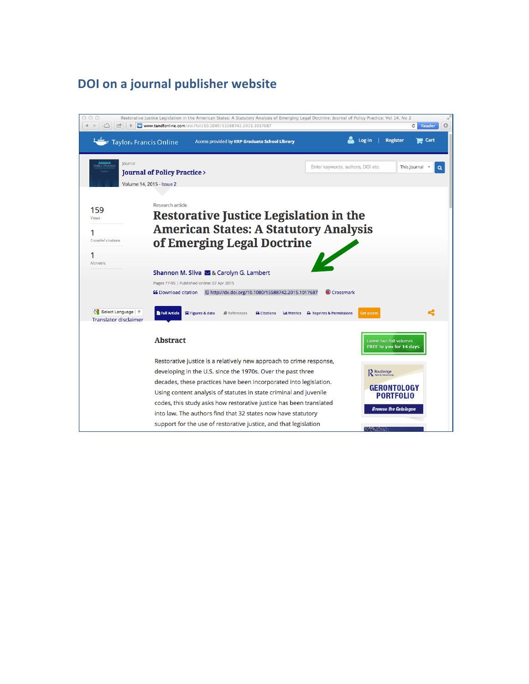## **DOI** on a journal publisher website